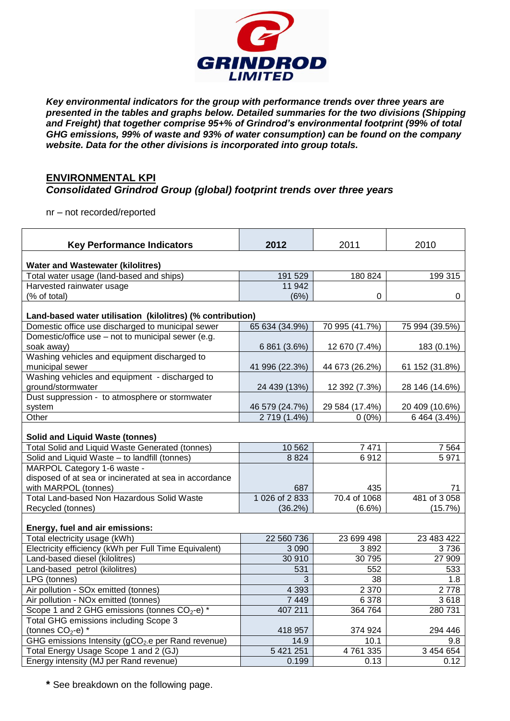

*Key environmental indicators for the group with performance trends over three years are presented in the tables and graphs below. Detailed summaries for the two divisions (Shipping and Freight) that together comprise 95+% of Grindrod's environmental footprint (99% of total GHG emissions, 99% of waste and 93% of water consumption) can be found on the company website. Data for the other divisions is incorporated into group totals.*

## **ENVIRONMENTAL KPI**

## *Consolidated Grindrod Group (global) footprint trends over three years*

nr – not recorded/reported

| <b>Key Performance Indicators</b>                                    | 2012           | 2011           | 2010           |  |  |  |  |  |  |
|----------------------------------------------------------------------|----------------|----------------|----------------|--|--|--|--|--|--|
| <b>Water and Wastewater (kilolitres)</b>                             |                |                |                |  |  |  |  |  |  |
| Total water usage (land-based and ships)                             | 191 529        | 180 824        | 199 315        |  |  |  |  |  |  |
| Harvested rainwater usage                                            | 11 942         |                |                |  |  |  |  |  |  |
| (% of total)                                                         | (6%)           | 0              | 0              |  |  |  |  |  |  |
| Land-based water utilisation (kilolitres) (% contribution)           |                |                |                |  |  |  |  |  |  |
| Domestic office use discharged to municipal sewer                    | 65 634 (34.9%) | 70 995 (41.7%) | 75 994 (39.5%) |  |  |  |  |  |  |
| Domestic/office use – not to municipal sewer (e.g.                   |                |                |                |  |  |  |  |  |  |
| soak away)                                                           | 6 861 (3.6%)   | 12 670 (7.4%)  | 183 (0.1%)     |  |  |  |  |  |  |
| Washing vehicles and equipment discharged to                         |                |                |                |  |  |  |  |  |  |
| municipal sewer                                                      | 41 996 (22.3%) | 44 673 (26.2%) | 61 152 (31.8%) |  |  |  |  |  |  |
| Washing vehicles and equipment - discharged to                       |                |                |                |  |  |  |  |  |  |
| ground/stormwater                                                    | 24 439 (13%)   | 12 392 (7.3%)  | 28 146 (14.6%) |  |  |  |  |  |  |
| Dust suppression - to atmosphere or stormwater                       |                |                |                |  |  |  |  |  |  |
| system                                                               | 46 579 (24.7%) | 29 584 (17.4%) | 20 409 (10.6%) |  |  |  |  |  |  |
| Other                                                                | 2719 (1.4%)    | $0(0\%)$       | 6 464 (3.4%)   |  |  |  |  |  |  |
| <b>Solid and Liquid Waste (tonnes)</b>                               |                |                |                |  |  |  |  |  |  |
| Total Solid and Liquid Waste Generated (tonnes)                      | 10 562         | 7471           | 7 5 6 4        |  |  |  |  |  |  |
| Solid and Liquid Waste - to landfill (tonnes)                        | 8824           | 6912           | 5971           |  |  |  |  |  |  |
| MARPOL Category 1-6 waste -                                          |                |                |                |  |  |  |  |  |  |
| disposed of at sea or incinerated at sea in accordance               |                |                |                |  |  |  |  |  |  |
| with MARPOL (tonnes)                                                 | 687            | 435            | 71             |  |  |  |  |  |  |
| Total Land-based Non Hazardous Solid Waste                           | 1026 of 2833   | 70.4 of 1068   | 481 of 3058    |  |  |  |  |  |  |
| Recycled (tonnes)                                                    | $(36.2\%)$     | $(6.6\%)$      | (15.7%)        |  |  |  |  |  |  |
| Energy, fuel and air emissions:                                      |                |                |                |  |  |  |  |  |  |
| Total electricity usage (kWh)                                        | 22 560 736     | 23 699 498     | 23 483 422     |  |  |  |  |  |  |
| Electricity efficiency (kWh per Full Time Equivalent)                | 3 0 9 0        | 3892           | 3736           |  |  |  |  |  |  |
| Land-based diesel (kilolitres)                                       | 30 910         | 30 795         | 27 909         |  |  |  |  |  |  |
| Land-based petrol (kilolitres)                                       | 531            | 552            | 533            |  |  |  |  |  |  |
| LPG (tonnes)                                                         | 3              | 38             | 1.8            |  |  |  |  |  |  |
| Air pollution - SOx emitted (tonnes)                                 | 4 3 9 3        | 2 3 7 0        | 2778           |  |  |  |  |  |  |
| Air pollution - NOx emitted (tonnes)                                 | 7 4 4 9        | 6 3 7 8        | 3618           |  |  |  |  |  |  |
| Scope 1 and 2 GHG emissions (tonnes CO <sub>2</sub> -e) <sup>*</sup> | 407 211        | 364 764        | 280 731        |  |  |  |  |  |  |
| Total GHG emissions including Scope 3                                |                |                |                |  |  |  |  |  |  |
| (tonnes $CO2 - e$ ) *                                                | 418 957        | 374 924        | 294 446        |  |  |  |  |  |  |
| GHG emissions Intensity (gCO <sub>2</sub> .e per Rand revenue)       | 14.9           | 10.1           | 9.8            |  |  |  |  |  |  |
| Total Energy Usage Scope 1 and 2 (GJ)                                | 5 421 251      | 4761335        | 3 454 654      |  |  |  |  |  |  |
| Energy intensity (MJ per Rand revenue)                               | 0.199          | 0.13           | 0.12           |  |  |  |  |  |  |

**\*** See breakdown on the following page.